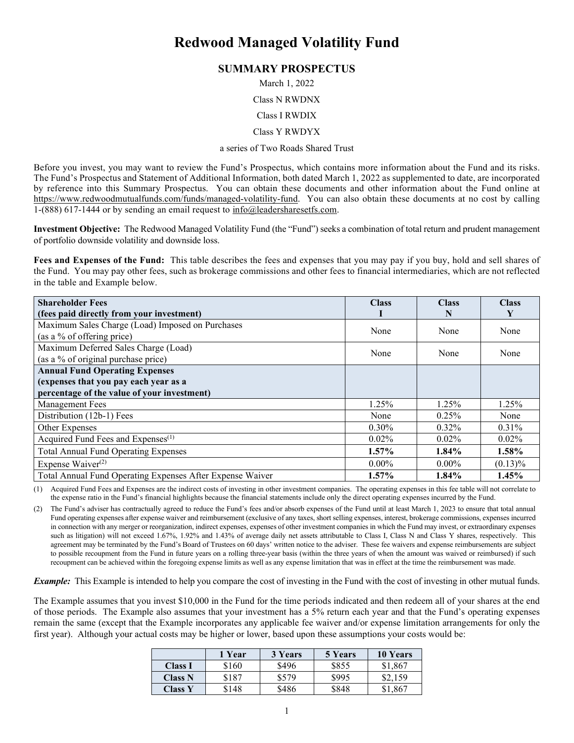# **Redwood Managed Volatility Fund**

# **SUMMARY PROSPECTUS**

March 1, 2022

Class N RWDNX

#### Class I RWDIX

Class Y RWDYX

#### a series of Two Roads Shared Trust

Before you invest, you may want to review the Fund's Prospectus, which contains more information about the Fund and its risks. The Fund's Prospectus and Statement of Additional Information, both dated March 1, 2022 as supplemented to date, are incorporated by reference into this Summary Prospectus. You can obtain these documents and other information about the Fund online at [https://www.redwoodmutualfunds.com/funds/managed-volatility-fund.](https://www.redwoodmutualfunds.com/funds/managed-volatility-fund) You can also obtain these documents at no cost by calling 1-(888) 617-1444 or by sending an email request to  $info(\omega)$  leaders hareset fs. com.

**Investment Objective:** The Redwood Managed Volatility Fund (the "Fund") seeks a combination of total return and prudent management of portfolio downside volatility and downside loss.

**Fees and Expenses of the Fund:** This table describes the fees and expenses that you may pay if you buy, hold and sell shares of the Fund. You may pay other fees, such as brokerage commissions and other fees to financial intermediaries, which are not reflected in the table and Example below.

| <b>Shareholder Fees</b>                                   | <b>Class</b> | <b>Class</b> | <b>Class</b> |
|-----------------------------------------------------------|--------------|--------------|--------------|
| (fees paid directly from your investment)                 |              | N            | Y            |
| Maximum Sales Charge (Load) Imposed on Purchases          | None         | None         | None         |
| (as a % of offering price)                                |              |              |              |
| Maximum Deferred Sales Charge (Load)<br>None              |              | None         | None         |
| (as a % of original purchase price)                       |              |              |              |
| <b>Annual Fund Operating Expenses</b>                     |              |              |              |
| (expenses that you pay each year as a                     |              |              |              |
| percentage of the value of your investment)               |              |              |              |
| <b>Management Fees</b>                                    | 1.25%        | 1.25%        | 1.25%        |
| Distribution (12b-1) Fees                                 | None         | 0.25%        | None         |
| Other Expenses                                            | $0.30\%$     | $0.32\%$     | $0.31\%$     |
| Acquired Fund Fees and Expenses <sup>(1)</sup>            | $0.02\%$     | $0.02\%$     | $0.02\%$     |
| <b>Total Annual Fund Operating Expenses</b>               | $1.57\%$     | $1.84\%$     | 1.58%        |
| Expense Waiver <sup>(2)</sup>                             | $0.00\%$     | $0.00\%$     | $(0.13)\%$   |
| Total Annual Fund Operating Expenses After Expense Waiver | $1.57\%$     | $1.84\%$     | 1.45%        |

(1) Acquired Fund Fees and Expenses are the indirect costs of investing in other investment companies. The operating expenses in this fee table will not correlate to the expense ratio in the Fund's financial highlights because the financial statements include only the direct operating expenses incurred by the Fund.

(2) The Fund's adviser has contractually agreed to reduce the Fund's fees and/or absorb expenses of the Fund until at least March 1, 2023 to ensure that total annual Fund operating expenses after expense waiver and reimbursement (exclusive of any taxes, short selling expenses, interest, brokerage commissions, expenses incurred in connection with any merger or reorganization, indirect expenses, expenses of other investment companies in which the Fund may invest, or extraordinary expenses such as litigation) will not exceed 1.67%, 1.92% and 1.43% of average daily net assets attributable to Class I, Class N and Class Y shares, respectively. This agreement may be terminated by the Fund's Board of Trustees on 60 days' written notice to the adviser. These fee waivers and expense reimbursements are subject to possible recoupment from the Fund in future years on a rolling three-year basis (within the three years of when the amount was waived or reimbursed) if such recoupment can be achieved within the foregoing expense limits as well as any expense limitation that was in effect at the time the reimbursement was made.

*Example:* This Example is intended to help you compare the cost of investing in the Fund with the cost of investing in other mutual funds.

The Example assumes that you invest \$10,000 in the Fund for the time periods indicated and then redeem all of your shares at the end of those periods. The Example also assumes that your investment has a 5% return each year and that the Fund's operating expenses remain the same (except that the Example incorporates any applicable fee waiver and/or expense limitation arrangements for only the first year). Although your actual costs may be higher or lower, based upon these assumptions your costs would be:

|                | 1 Year | 3 Years | 5 Years | 10 Years |
|----------------|--------|---------|---------|----------|
| <b>Class I</b> | \$160  | \$496   | \$855   | \$1,867  |
| <b>Class N</b> | \$187  | \$579   | \$995   | \$2,159  |
| <b>Class Y</b> | \$148  | \$486   | \$848   | \$1,867  |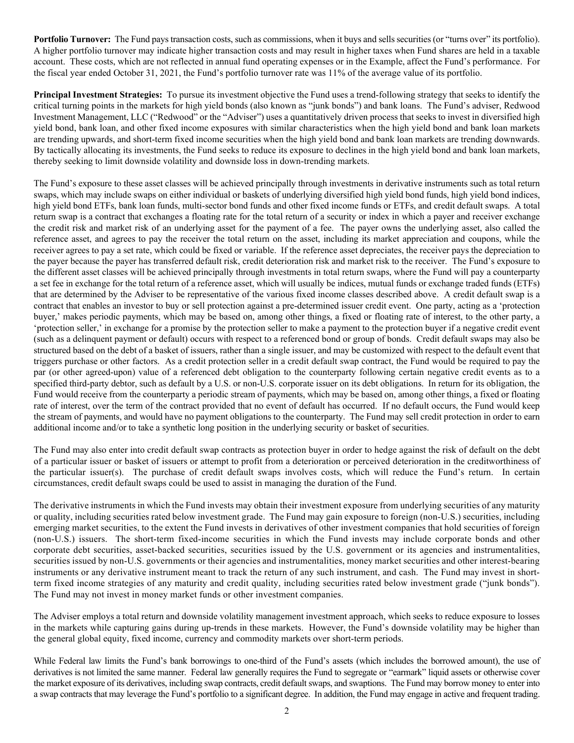**Portfolio Turnover:** The Fund pays transaction costs, such as commissions, when it buys and sells securities (or "turns over" its portfolio). A higher portfolio turnover may indicate higher transaction costs and may result in higher taxes when Fund shares are held in a taxable account. These costs, which are not reflected in annual fund operating expenses or in the Example, affect the Fund's performance. For the fiscal year ended October 31, 2021, the Fund's portfolio turnover rate was 11% of the average value of its portfolio.

**Principal Investment Strategies:** To pursue its investment objective the Fund uses a trend-following strategy that seeks to identify the critical turning points in the markets for high yield bonds (also known as "junk bonds") and bank loans. The Fund's adviser, Redwood Investment Management, LLC ("Redwood" or the "Adviser") uses a quantitatively driven process that seeks to invest in diversified high yield bond, bank loan, and other fixed income exposures with similar characteristics when the high yield bond and bank loan markets are trending upwards, and short-term fixed income securities when the high yield bond and bank loan markets are trending downwards. By tactically allocating its investments, the Fund seeks to reduce its exposure to declines in the high yield bond and bank loan markets, thereby seeking to limit downside volatility and downside loss in down-trending markets.

The Fund's exposure to these asset classes will be achieved principally through investments in derivative instruments such as total return swaps, which may include swaps on either individual or baskets of underlying diversified high yield bond funds, high yield bond indices, high yield bond ETFs, bank loan funds, multi-sector bond funds and other fixed income funds or ETFs, and credit default swaps. A total return swap is a contract that exchanges a floating rate for the total return of a security or index in which a payer and receiver exchange the credit risk and market risk of an underlying asset for the payment of a fee. The payer owns the underlying asset, also called the reference asset, and agrees to pay the receiver the total return on the asset, including its market appreciation and coupons, while the receiver agrees to pay a set rate, which could be fixed or variable. If the reference asset depreciates, the receiver pays the depreciation to the payer because the payer has transferred default risk, credit deterioration risk and market risk to the receiver. The Fund's exposure to the different asset classes will be achieved principally through investments in total return swaps, where the Fund will pay a counterparty a set fee in exchange for the total return of a reference asset, which will usually be indices, mutual funds or exchange traded funds (ETFs) that are determined by the Adviser to be representative of the various fixed income classes described above. A credit default swap is a contract that enables an investor to buy or sell protection against a pre-determined issuer credit event. One party, acting as a 'protection buyer,' makes periodic payments, which may be based on, among other things, a fixed or floating rate of interest, to the other party, a 'protection seller,' in exchange for a promise by the protection seller to make a payment to the protection buyer if a negative credit event (such as a delinquent payment or default) occurs with respect to a referenced bond or group of bonds. Credit default swaps may also be structured based on the debt of a basket of issuers, rather than a single issuer, and may be customized with respect to the default event that triggers purchase or other factors. As a credit protection seller in a credit default swap contract, the Fund would be required to pay the par (or other agreed-upon) value of a referenced debt obligation to the counterparty following certain negative credit events as to a specified third-party debtor, such as default by a U.S. or non-U.S. corporate issuer on its debt obligations. In return for its obligation, the Fund would receive from the counterparty a periodic stream of payments, which may be based on, among other things, a fixed or floating rate of interest, over the term of the contract provided that no event of default has occurred. If no default occurs, the Fund would keep the stream of payments, and would have no payment obligations to the counterparty. The Fund may sell credit protection in order to earn additional income and/or to take a synthetic long position in the underlying security or basket of securities.

The Fund may also enter into credit default swap contracts as protection buyer in order to hedge against the risk of default on the debt of a particular issuer or basket of issuers or attempt to profit from a deterioration or perceived deterioration in the creditworthiness of the particular issuer(s). The purchase of credit default swaps involves costs, which will reduce the Fund's return. In certain circumstances, credit default swaps could be used to assist in managing the duration of the Fund.

The derivative instruments in which the Fund invests may obtain their investment exposure from underlying securities of any maturity or quality, including securities rated below investment grade. The Fund may gain exposure to foreign (non-U.S.) securities, including emerging market securities, to the extent the Fund invests in derivatives of other investment companies that hold securities of foreign (non-U.S.) issuers. The short-term fixed-income securities in which the Fund invests may include corporate bonds and other corporate debt securities, asset-backed securities, securities issued by the U.S. government or its agencies and instrumentalities, securities issued by non-U.S. governments or their agencies and instrumentalities, money market securities and other interest-bearing instruments or any derivative instrument meant to track the return of any such instrument, and cash. The Fund may invest in shortterm fixed income strategies of any maturity and credit quality, including securities rated below investment grade ("junk bonds"). The Fund may not invest in money market funds or other investment companies.

The Adviser employs a total return and downside volatility management investment approach, which seeks to reduce exposure to losses in the markets while capturing gains during up-trends in these markets. However, the Fund's downside volatility may be higher than the general global equity, fixed income, currency and commodity markets over short-term periods.

While Federal law limits the Fund's bank borrowings to one-third of the Fund's assets (which includes the borrowed amount), the use of derivatives is not limited the same manner. Federal law generally requires the Fund to segregate or "earmark" liquid assets or otherwise cover the market exposure of its derivatives, including swap contracts, credit default swaps, and swaptions. The Fund may borrow money to enter into a swap contracts that may leverage the Fund's portfolio to a significant degree. In addition, the Fund may engage in active and frequent trading.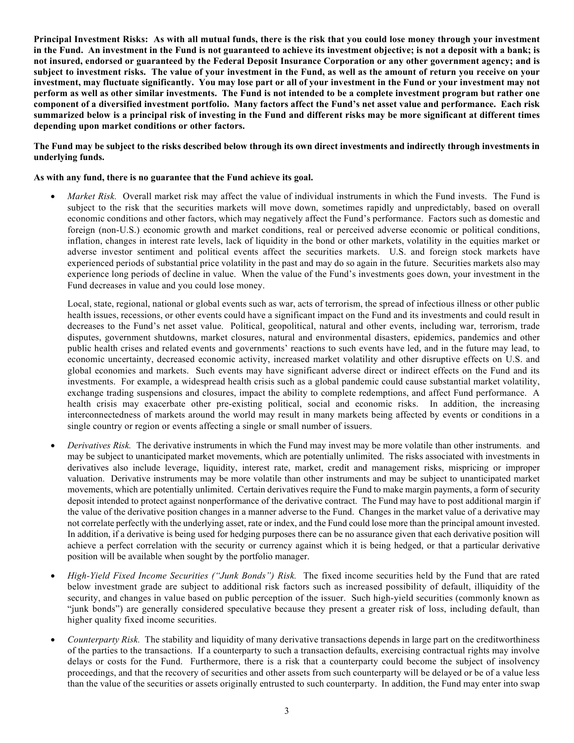**Principal Investment Risks: As with all mutual funds, there is the risk that you could lose money through your investment in the Fund. An investment in the Fund is not guaranteed to achieve its investment objective; is not a deposit with a bank; is not insured, endorsed or guaranteed by the Federal Deposit Insurance Corporation or any other government agency; and is subject to investment risks. The value of your investment in the Fund, as well as the amount of return you receive on your investment, may fluctuate significantly. You may lose part or all of your investment in the Fund or your investment may not perform as well as other similar investments. The Fund is not intended to be a complete investment program but rather one component of a diversified investment portfolio. Many factors affect the Fund's net asset value and performance. Each risk summarized below is a principal risk of investing in the Fund and different risks may be more significant at different times depending upon market conditions or other factors.**

**The Fund may be subject to the risks described below through its own direct investments and indirectly through investments in underlying funds.** 

## **As with any fund, there is no guarantee that the Fund achieve its goal.**

• *Market Risk.* Overall market risk may affect the value of individual instruments in which the Fund invests. The Fund is subject to the risk that the securities markets will move down, sometimes rapidly and unpredictably, based on overall economic conditions and other factors, which may negatively affect the Fund's performance. Factors such as domestic and foreign (non-U.S.) economic growth and market conditions, real or perceived adverse economic or political conditions, inflation, changes in interest rate levels, lack of liquidity in the bond or other markets, volatility in the equities market or adverse investor sentiment and political events affect the securities markets. U.S. and foreign stock markets have experienced periods of substantial price volatility in the past and may do so again in the future. Securities markets also may experience long periods of decline in value. When the value of the Fund's investments goes down, your investment in the Fund decreases in value and you could lose money.

Local, state, regional, national or global events such as war, acts of terrorism, the spread of infectious illness or other public health issues, recessions, or other events could have a significant impact on the Fund and its investments and could result in decreases to the Fund's net asset value. Political, geopolitical, natural and other events, including war, terrorism, trade disputes, government shutdowns, market closures, natural and environmental disasters, epidemics, pandemics and other public health crises and related events and governments' reactions to such events have led, and in the future may lead, to economic uncertainty, decreased economic activity, increased market volatility and other disruptive effects on U.S. and global economies and markets. Such events may have significant adverse direct or indirect effects on the Fund and its investments. For example, a widespread health crisis such as a global pandemic could cause substantial market volatility, exchange trading suspensions and closures, impact the ability to complete redemptions, and affect Fund performance. A health crisis may exacerbate other pre-existing political, social and economic risks. In addition, the increasing interconnectedness of markets around the world may result in many markets being affected by events or conditions in a single country or region or events affecting a single or small number of issuers.

- *Derivatives Risk.* The derivative instruments in which the Fund may invest may be more volatile than other instruments. and may be subject to unanticipated market movements, which are potentially unlimited. The risks associated with investments in derivatives also include leverage, liquidity, interest rate, market, credit and management risks, mispricing or improper valuation. Derivative instruments may be more volatile than other instruments and may be subject to unanticipated market movements, which are potentially unlimited. Certain derivatives require the Fund to make margin payments, a form of security deposit intended to protect against nonperformance of the derivative contract. The Fund may have to post additional margin if the value of the derivative position changes in a manner adverse to the Fund. Changes in the market value of a derivative may not correlate perfectly with the underlying asset, rate or index, and the Fund could lose more than the principal amount invested. In addition, if a derivative is being used for hedging purposes there can be no assurance given that each derivative position will achieve a perfect correlation with the security or currency against which it is being hedged, or that a particular derivative position will be available when sought by the portfolio manager.
- *High-Yield Fixed Income Securities ("Junk Bonds") Risk.* The fixed income securities held by the Fund that are rated below investment grade are subject to additional risk factors such as increased possibility of default, illiquidity of the security, and changes in value based on public perception of the issuer. Such high-yield securities (commonly known as "junk bonds") are generally considered speculative because they present a greater risk of loss, including default, than higher quality fixed income securities.
- *Counterparty Risk.* The stability and liquidity of many derivative transactions depends in large part on the creditworthiness of the parties to the transactions. If a counterparty to such a transaction defaults, exercising contractual rights may involve delays or costs for the Fund. Furthermore, there is a risk that a counterparty could become the subject of insolvency proceedings, and that the recovery of securities and other assets from such counterparty will be delayed or be of a value less than the value of the securities or assets originally entrusted to such counterparty. In addition, the Fund may enter into swap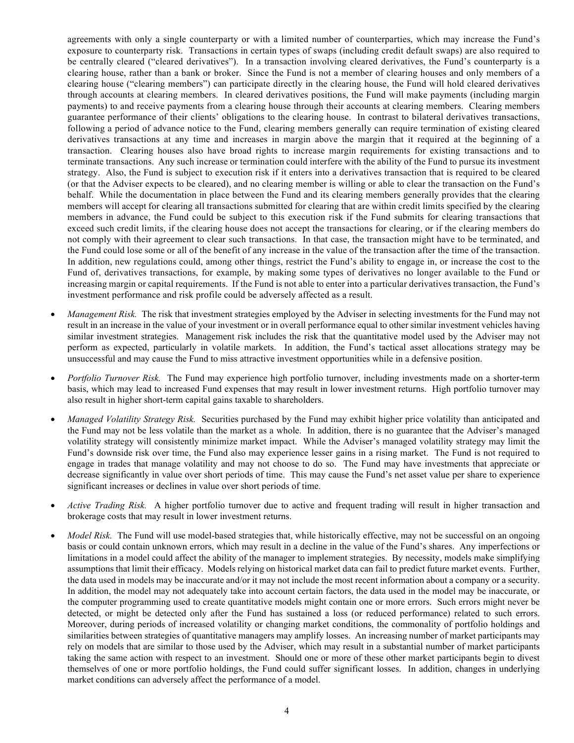agreements with only a single counterparty or with a limited number of counterparties, which may increase the Fund's exposure to counterparty risk. Transactions in certain types of swaps (including credit default swaps) are also required to be centrally cleared ("cleared derivatives"). In a transaction involving cleared derivatives, the Fund's counterparty is a clearing house, rather than a bank or broker. Since the Fund is not a member of clearing houses and only members of a clearing house ("clearing members") can participate directly in the clearing house, the Fund will hold cleared derivatives through accounts at clearing members. In cleared derivatives positions, the Fund will make payments (including margin payments) to and receive payments from a clearing house through their accounts at clearing members. Clearing members guarantee performance of their clients' obligations to the clearing house. In contrast to bilateral derivatives transactions, following a period of advance notice to the Fund, clearing members generally can require termination of existing cleared derivatives transactions at any time and increases in margin above the margin that it required at the beginning of a transaction. Clearing houses also have broad rights to increase margin requirements for existing transactions and to terminate transactions. Any such increase or termination could interfere with the ability of the Fund to pursue its investment strategy. Also, the Fund is subject to execution risk if it enters into a derivatives transaction that is required to be cleared (or that the Adviser expects to be cleared), and no clearing member is willing or able to clear the transaction on the Fund's behalf. While the documentation in place between the Fund and its clearing members generally provides that the clearing members will accept for clearing all transactions submitted for clearing that are within credit limits specified by the clearing members in advance, the Fund could be subject to this execution risk if the Fund submits for clearing transactions that exceed such credit limits, if the clearing house does not accept the transactions for clearing, or if the clearing members do not comply with their agreement to clear such transactions. In that case, the transaction might have to be terminated, and the Fund could lose some or all of the benefit of any increase in the value of the transaction after the time of the transaction. In addition, new regulations could, among other things, restrict the Fund's ability to engage in, or increase the cost to the Fund of, derivatives transactions, for example, by making some types of derivatives no longer available to the Fund or increasing margin or capital requirements. If the Fund is not able to enter into a particular derivatives transaction, the Fund's investment performance and risk profile could be adversely affected as a result.

- *Management Risk.* The risk that investment strategies employed by the Adviser in selecting investments for the Fund may not result in an increase in the value of your investment or in overall performance equal to other similar investment vehicles having similar investment strategies. Management risk includes the risk that the quantitative model used by the Adviser may not perform as expected, particularly in volatile markets. In addition, the Fund's tactical asset allocations strategy may be unsuccessful and may cause the Fund to miss attractive investment opportunities while in a defensive position.
- *Portfolio Turnover Risk.* The Fund may experience high portfolio turnover, including investments made on a shorter-term basis, which may lead to increased Fund expenses that may result in lower investment returns. High portfolio turnover may also result in higher short-term capital gains taxable to shareholders.
- *Managed Volatility Strategy Risk.* Securities purchased by the Fund may exhibit higher price volatility than anticipated and the Fund may not be less volatile than the market as a whole. In addition, there is no guarantee that the Adviser's managed volatility strategy will consistently minimize market impact. While the Adviser's managed volatility strategy may limit the Fund's downside risk over time, the Fund also may experience lesser gains in a rising market. The Fund is not required to engage in trades that manage volatility and may not choose to do so. The Fund may have investments that appreciate or decrease significantly in value over short periods of time. This may cause the Fund's net asset value per share to experience significant increases or declines in value over short periods of time.
- *Active Trading Risk.* A higher portfolio turnover due to active and frequent trading will result in higher transaction and brokerage costs that may result in lower investment returns.
- *Model Risk.* The Fund will use model-based strategies that, while historically effective, may not be successful on an ongoing basis or could contain unknown errors, which may result in a decline in the value of the Fund's shares. Any imperfections or limitations in a model could affect the ability of the manager to implement strategies. By necessity, models make simplifying assumptions that limit their efficacy. Models relying on historical market data can fail to predict future market events. Further, the data used in models may be inaccurate and/or it may not include the most recent information about a company or a security. In addition, the model may not adequately take into account certain factors, the data used in the model may be inaccurate, or the computer programming used to create quantitative models might contain one or more errors. Such errors might never be detected, or might be detected only after the Fund has sustained a loss (or reduced performance) related to such errors. Moreover, during periods of increased volatility or changing market conditions, the commonality of portfolio holdings and similarities between strategies of quantitative managers may amplify losses. An increasing number of market participants may rely on models that are similar to those used by the Adviser, which may result in a substantial number of market participants taking the same action with respect to an investment. Should one or more of these other market participants begin to divest themselves of one or more portfolio holdings, the Fund could suffer significant losses. In addition, changes in underlying market conditions can adversely affect the performance of a model.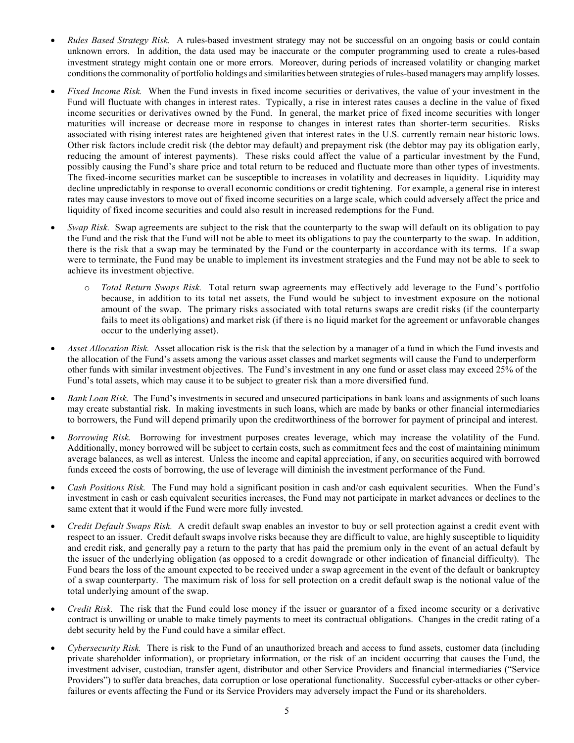- *Rules Based Strategy Risk.* A rules-based investment strategy may not be successful on an ongoing basis or could contain unknown errors. In addition, the data used may be inaccurate or the computer programming used to create a rules-based investment strategy might contain one or more errors. Moreover, during periods of increased volatility or changing market conditions the commonality of portfolio holdings and similarities between strategies of rules-based managers may amplify losses.
- *Fixed Income Risk.* When the Fund invests in fixed income securities or derivatives, the value of your investment in the Fund will fluctuate with changes in interest rates. Typically, a rise in interest rates causes a decline in the value of fixed income securities or derivatives owned by the Fund. In general, the market price of fixed income securities with longer maturities will increase or decrease more in response to changes in interest rates than shorter-term securities. Risks associated with rising interest rates are heightened given that interest rates in the U.S. currently remain near historic lows. Other risk factors include credit risk (the debtor may default) and prepayment risk (the debtor may pay its obligation early, reducing the amount of interest payments). These risks could affect the value of a particular investment by the Fund, possibly causing the Fund's share price and total return to be reduced and fluctuate more than other types of investments. The fixed-income securities market can be susceptible to increases in volatility and decreases in liquidity. Liquidity may decline unpredictably in response to overall economic conditions or credit tightening. For example, a general rise in interest rates may cause investors to move out of fixed income securities on a large scale, which could adversely affect the price and liquidity of fixed income securities and could also result in increased redemptions for the Fund.
- *Swap Risk.* Swap agreements are subject to the risk that the counterparty to the swap will default on its obligation to pay the Fund and the risk that the Fund will not be able to meet its obligations to pay the counterparty to the swap. In addition, there is the risk that a swap may be terminated by the Fund or the counterparty in accordance with its terms. If a swap were to terminate, the Fund may be unable to implement its investment strategies and the Fund may not be able to seek to achieve its investment objective.
	- o *Total Return Swaps Risk.* Total return swap agreements may effectively add leverage to the Fund's portfolio because, in addition to its total net assets, the Fund would be subject to investment exposure on the notional amount of the swap. The primary risks associated with total returns swaps are credit risks (if the counterparty fails to meet its obligations) and market risk (if there is no liquid market for the agreement or unfavorable changes occur to the underlying asset).
- *Asset Allocation Risk.* Asset allocation risk is the risk that the selection by a manager of a fund in which the Fund invests and the allocation of the Fund's assets among the various asset classes and market segments will cause the Fund to underperform other funds with similar investment objectives. The Fund's investment in any one fund or asset class may exceed 25% of the Fund's total assets, which may cause it to be subject to greater risk than a more diversified fund.
- *Bank Loan Risk.* The Fund's investments in secured and unsecured participations in bank loans and assignments of such loans may create substantial risk. In making investments in such loans, which are made by banks or other financial intermediaries to borrowers, the Fund will depend primarily upon the creditworthiness of the borrower for payment of principal and interest.
- *Borrowing Risk.* Borrowing for investment purposes creates leverage, which may increase the volatility of the Fund. Additionally, money borrowed will be subject to certain costs, such as commitment fees and the cost of maintaining minimum average balances, as well as interest. Unless the income and capital appreciation, if any, on securities acquired with borrowed funds exceed the costs of borrowing, the use of leverage will diminish the investment performance of the Fund.
- *Cash Positions Risk.* The Fund may hold a significant position in cash and/or cash equivalent securities. When the Fund's investment in cash or cash equivalent securities increases, the Fund may not participate in market advances or declines to the same extent that it would if the Fund were more fully invested.
- *Credit Default Swaps Risk.* A credit default swap enables an investor to buy or sell protection against a credit event with respect to an issuer. Credit default swaps involve risks because they are difficult to value, are highly susceptible to liquidity and credit risk, and generally pay a return to the party that has paid the premium only in the event of an actual default by the issuer of the underlying obligation (as opposed to a credit downgrade or other indication of financial difficulty). The Fund bears the loss of the amount expected to be received under a swap agreement in the event of the default or bankruptcy of a swap counterparty. The maximum risk of loss for sell protection on a credit default swap is the notional value of the total underlying amount of the swap.
- *Credit Risk.* The risk that the Fund could lose money if the issuer or guarantor of a fixed income security or a derivative contract is unwilling or unable to make timely payments to meet its contractual obligations. Changes in the credit rating of a debt security held by the Fund could have a similar effect.
- *Cybersecurity Risk.* There is risk to the Fund of an unauthorized breach and access to fund assets, customer data (including private shareholder information), or proprietary information, or the risk of an incident occurring that causes the Fund, the investment adviser, custodian, transfer agent, distributor and other Service Providers and financial intermediaries ("Service Providers") to suffer data breaches, data corruption or lose operational functionality. Successful cyber-attacks or other cyberfailures or events affecting the Fund or its Service Providers may adversely impact the Fund or its shareholders.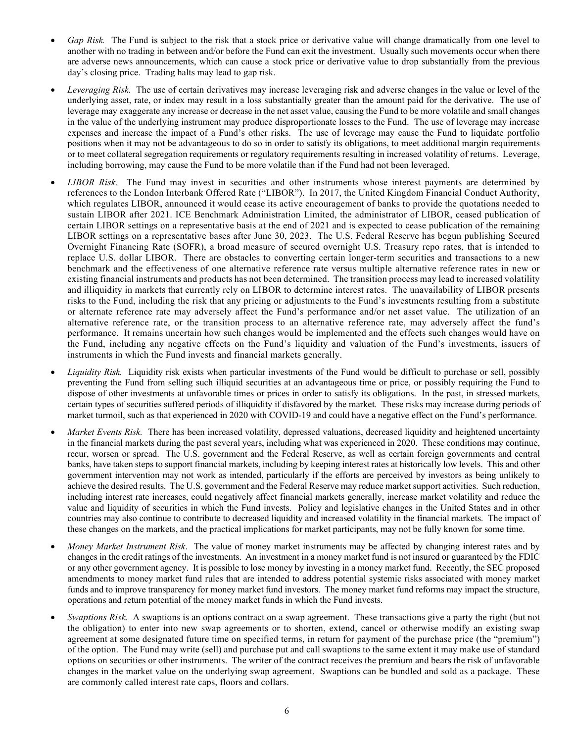- *Gap Risk.* The Fund is subject to the risk that a stock price or derivative value will change dramatically from one level to another with no trading in between and/or before the Fund can exit the investment. Usually such movements occur when there are adverse news announcements, which can cause a stock price or derivative value to drop substantially from the previous day's closing price. Trading halts may lead to gap risk.
- *Leveraging Risk.* The use of certain derivatives may increase leveraging risk and adverse changes in the value or level of the underlying asset, rate, or index may result in a loss substantially greater than the amount paid for the derivative. The use of leverage may exaggerate any increase or decrease in the net asset value, causing the Fund to be more volatile and small changes in the value of the underlying instrument may produce disproportionate losses to the Fund. The use of leverage may increase expenses and increase the impact of a Fund's other risks. The use of leverage may cause the Fund to liquidate portfolio positions when it may not be advantageous to do so in order to satisfy its obligations, to meet additional margin requirements or to meet collateral segregation requirements or regulatory requirements resulting in increased volatility of returns. Leverage, including borrowing, may cause the Fund to be more volatile than if the Fund had not been leveraged.
- *LIBOR Risk.* The Fund may invest in securities and other instruments whose interest payments are determined by references to the London Interbank Offered Rate ("LIBOR"). In 2017, the United Kingdom Financial Conduct Authority, which regulates LIBOR, announced it would cease its active encouragement of banks to provide the quotations needed to sustain LIBOR after 2021. ICE Benchmark Administration Limited, the administrator of LIBOR, ceased publication of certain LIBOR settings on a representative basis at the end of 2021 and is expected to cease publication of the remaining LIBOR settings on a representative bases after June 30, 2023. The U.S. Federal Reserve has begun publishing Secured Overnight Financing Rate (SOFR), a broad measure of secured overnight U.S. Treasury repo rates, that is intended to replace U.S. dollar LIBOR. There are obstacles to converting certain longer-term securities and transactions to a new benchmark and the effectiveness of one alternative reference rate versus multiple alternative reference rates in new or existing financial instruments and products has not been determined. The transition process may lead to increased volatility and illiquidity in markets that currently rely on LIBOR to determine interest rates. The unavailability of LIBOR presents risks to the Fund, including the risk that any pricing or adjustments to the Fund's investments resulting from a substitute or alternate reference rate may adversely affect the Fund's performance and/or net asset value. The utilization of an alternative reference rate, or the transition process to an alternative reference rate, may adversely affect the fund's performance. It remains uncertain how such changes would be implemented and the effects such changes would have on the Fund, including any negative effects on the Fund's liquidity and valuation of the Fund's investments, issuers of instruments in which the Fund invests and financial markets generally.
- *Liquidity Risk.* Liquidity risk exists when particular investments of the Fund would be difficult to purchase or sell, possibly preventing the Fund from selling such illiquid securities at an advantageous time or price, or possibly requiring the Fund to dispose of other investments at unfavorable times or prices in order to satisfy its obligations. In the past, in stressed markets, certain types of securities suffered periods of illiquidity if disfavored by the market. These risks may increase during periods of market turmoil, such as that experienced in 2020 with COVID-19 and could have a negative effect on the Fund's performance.
- *Market Events Risk.* There has been increased volatility, depressed valuations, decreased liquidity and heightened uncertainty in the financial markets during the past several years, including what was experienced in 2020. These conditions may continue, recur, worsen or spread. The U.S. government and the Federal Reserve, as well as certain foreign governments and central banks, have taken steps to support financial markets, including by keeping interest rates at historically low levels. This and other government intervention may not work as intended, particularly if the efforts are perceived by investors as being unlikely to achieve the desired results. The U.S. government and the Federal Reserve may reduce market support activities. Such reduction, including interest rate increases, could negatively affect financial markets generally, increase market volatility and reduce the value and liquidity of securities in which the Fund invests. Policy and legislative changes in the United States and in other countries may also continue to contribute to decreased liquidity and increased volatility in the financial markets. The impact of these changes on the markets, and the practical implications for market participants, may not be fully known for some time.
- *Money Market Instrument Risk*. The value of money market instruments may be affected by changing interest rates and by changes in the credit ratings of the investments. An investment in a money market fund is not insured or guaranteed by the FDIC or any other government agency. It is possible to lose money by investing in a money market fund. Recently, the SEC proposed amendments to money market fund rules that are intended to address potential systemic risks associated with money market funds and to improve transparency for money market fund investors. The money market fund reforms may impact the structure, operations and return potential of the money market funds in which the Fund invests.
- *Swaptions Risk.* A swaptions is an options contract on a swap agreement. These transactions give a party the right (but not the obligation) to enter into new swap agreements or to shorten, extend, cancel or otherwise modify an existing swap agreement at some designated future time on specified terms, in return for payment of the purchase price (the "premium") of the option. The Fund may write (sell) and purchase put and call swaptions to the same extent it may make use of standard options on securities or other instruments. The writer of the contract receives the premium and bears the risk of unfavorable changes in the market value on the underlying swap agreement. Swaptions can be bundled and sold as a package. These are commonly called interest rate caps, floors and collars.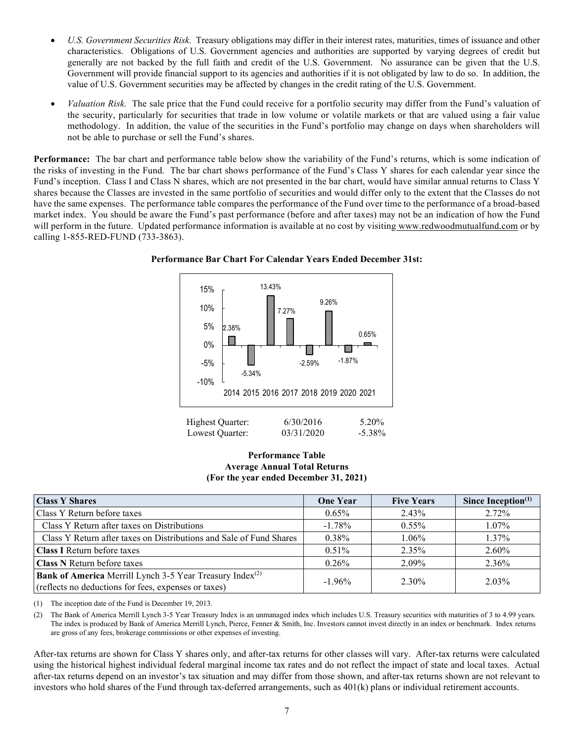- *U.S. Government Securities Risk.* Treasury obligations may differ in their interest rates, maturities, times of issuance and other characteristics. Obligations of U.S. Government agencies and authorities are supported by varying degrees of credit but generally are not backed by the full faith and credit of the U.S. Government. No assurance can be given that the U.S. Government will provide financial support to its agencies and authorities if it is not obligated by law to do so. In addition, the value of U.S. Government securities may be affected by changes in the credit rating of the U.S. Government.
- *Valuation Risk.* The sale price that the Fund could receive for a portfolio security may differ from the Fund's valuation of the security, particularly for securities that trade in low volume or volatile markets or that are valued using a fair value methodology. In addition, the value of the securities in the Fund's portfolio may change on days when shareholders will not be able to purchase or sell the Fund's shares.

**Performance:** The bar chart and performance table below show the variability of the Fund's returns, which is some indication of the risks of investing in the Fund. The bar chart shows performance of the Fund's Class Y shares for each calendar year since the Fund's inception. Class I and Class N shares, which are not presented in the bar chart, would have similar annual returns to Class Y shares because the Classes are invested in the same portfolio of securities and would differ only to the extent that the Classes do not have the same expenses. The performance table compares the performance of the Fund over time to the performance of a broad-based market index. You should be aware the Fund's past performance (before and after taxes) may not be an indication of how the Fund will perform in the future. Updated performance information is available at no cost by visiting [www.redwoodmutualfund.com](http://www.redwoodmutualfund.com/) or by calling 1-855-RED-FUND (733-3863).



**Performance Bar Chart For Calendar Years Ended December 31st:**

### **Performance Table Average Annual Total Returns (For the year ended December 31, 2021)**

| <b>Class Y Shares</b>                                                                                                        | <b>One Year</b> | <b>Five Years</b> | Since Inception $(1)$ |
|------------------------------------------------------------------------------------------------------------------------------|-----------------|-------------------|-----------------------|
| Class Y Return before taxes                                                                                                  | $0.65\%$        | 2.43%             | 2.72%                 |
| Class Y Return after taxes on Distributions                                                                                  | $-1.78\%$       | $0.55\%$          | $1.07\%$              |
| Class Y Return after taxes on Distributions and Sale of Fund Shares                                                          | $0.38\%$        | $1.06\%$          | $1.37\%$              |
| <b>Class I Return before taxes</b>                                                                                           | $0.51\%$        | 2.35%             | 2.60%                 |
| <b>Class N</b> Return before taxes                                                                                           | $0.26\%$        | 2.09%             | 2.36%                 |
| Bank of America Merrill Lynch 3-5 Year Treasury Index <sup>(2)</sup><br>(reflects no deductions for fees, expenses or taxes) | $-1.96\%$       | 2.30%             | 2.03%                 |

(1) The inception date of the Fund is December 19, 2013.

(2) The Bank of America Merrill Lynch 3-5 Year Treasury Index is an unmanaged index which includes U.S. Treasury securities with maturities of 3 to 4.99 years. The index is produced by Bank of America Merrill Lynch, Pierce, Fenner & Smith, Inc. Investors cannot invest directly in an index or benchmark. Index returns are gross of any fees, brokerage commissions or other expenses of investing.

After-tax returns are shown for Class Y shares only, and after-tax returns for other classes will vary. After-tax returns were calculated using the historical highest individual federal marginal income tax rates and do not reflect the impact of state and local taxes. Actual after-tax returns depend on an investor's tax situation and may differ from those shown, and after-tax returns shown are not relevant to investors who hold shares of the Fund through tax-deferred arrangements, such as 401(k) plans or individual retirement accounts.